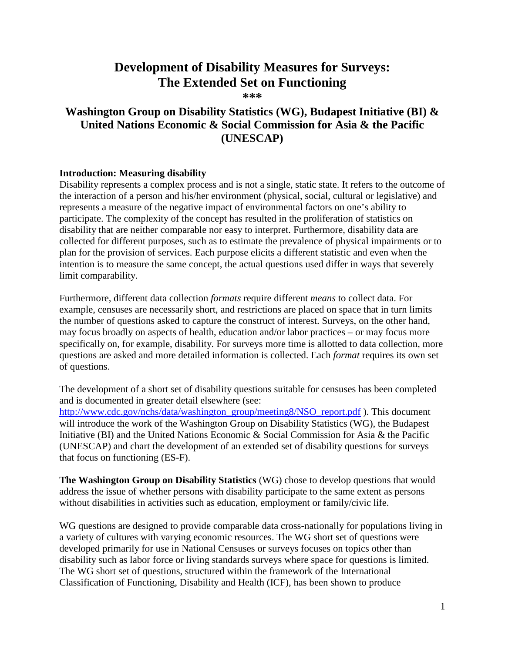# **Development of Disability Measures for Surveys: The Extended Set on Functioning**

**\*\*\***

# **Washington Group on Disability Statistics (WG), Budapest Initiative (BI) & United Nations Economic & Social Commission for Asia & the Pacific (UNESCAP)**

### **Introduction: Measuring disability**

Disability represents a complex process and is not a single, static state. It refers to the outcome of the interaction of a person and his/her environment (physical, social, cultural or legislative) and represents a measure of the negative impact of environmental factors on one's ability to participate. The complexity of the concept has resulted in the proliferation of statistics on disability that are neither comparable nor easy to interpret. Furthermore, disability data are collected for different purposes, such as to estimate the prevalence of physical impairments or to plan for the provision of services. Each purpose elicits a different statistic and even when the intention is to measure the same concept, the actual questions used differ in ways that severely limit comparability.

Furthermore, different data collection *formats* require different *means* to collect data. For example, censuses are necessarily short, and restrictions are placed on space that in turn limits the number of questions asked to capture the construct of interest. Surveys, on the other hand, may focus broadly on aspects of health, education and/or labor practices – or may focus more specifically on, for example, disability. For surveys more time is allotted to data collection, more questions are asked and more detailed information is collected. Each *format* requires its own set of questions.

The development of a short set of disability questions suitable for censuses has been completed and is documented in greater detail elsewhere (see:

[http://www.cdc.gov/nchs/data/washington\\_group/meeting8/NSO\\_report.pdf](http://www.cdc.gov/nchs/data/washington_group/meeting8/NSO_report.pdf) ). This document will introduce the work of the Washington Group on Disability Statistics (WG), the Budapest Initiative (BI) and the United Nations Economic & Social Commission for Asia & the Pacific (UNESCAP) and chart the development of an extended set of disability questions for surveys that focus on functioning (ES-F).

**The Washington Group on Disability Statistics** (WG) chose to develop questions that would address the issue of whether persons with disability participate to the same extent as persons without disabilities in activities such as education, employment or family/civic life.

WG questions are designed to provide comparable data cross-nationally for populations living in a variety of cultures with varying economic resources. The WG short set of questions were developed primarily for use in National Censuses or surveys focuses on topics other than disability such as labor force or living standards surveys where space for questions is limited. The WG short set of questions, structured within the framework of the International Classification of Functioning, Disability and Health (ICF), has been shown to produce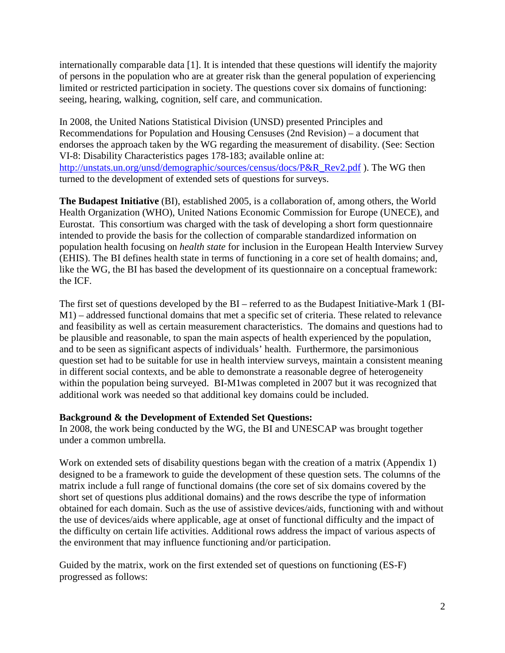internationally comparable data [1]. It is intended that these questions will identify the majority of persons in the population who are at greater risk than the general population of experiencing limited or restricted participation in society. The questions cover six domains of functioning: seeing, hearing, walking, cognition, self care, and communication.

In 2008, the United Nations Statistical Division (UNSD) presented Principles and Recommendations for Population and Housing Censuses (2nd Revision) – a document that endorses the approach taken by the WG regarding the measurement of disability. (See: Section VI-8: Disability Characteristics pages 178-183; available online at: [http://unstats.un.org/unsd/demographic/sources/census/docs/P&R\\_Rev2.pdf](http://unstats.un.org/unsd/demographic/sources/census/docs/P&R_Rev2.pdf) ). The WG then turned to the development of extended sets of questions for surveys.

**The Budapest Initiative** (BI), established 2005, is a collaboration of, among others, the World Health Organization (WHO), United Nations Economic Commission for Europe (UNECE), and Eurostat. This consortium was charged with the task of developing a short form questionnaire intended to provide the basis for the collection of comparable standardized information on population health focusing on *health state* for inclusion in the European Health Interview Survey (EHIS). The BI defines health state in terms of functioning in a core set of health domains; and, like the WG, the BI has based the development of its questionnaire on a conceptual framework: the ICF.

The first set of questions developed by the BI – referred to as the Budapest Initiative-Mark 1 (BI-M1) – addressed functional domains that met a specific set of criteria. These related to relevance and feasibility as well as certain measurement characteristics. The domains and questions had to be plausible and reasonable, to span the main aspects of health experienced by the population, and to be seen as significant aspects of individuals' health. Furthermore, the parsimonious question set had to be suitable for use in health interview surveys, maintain a consistent meaning in different social contexts, and be able to demonstrate a reasonable degree of heterogeneity within the population being surveyed. BI-M1was completed in 2007 but it was recognized that additional work was needed so that additional key domains could be included.

## **Background & the Development of Extended Set Questions:**

In 2008, the work being conducted by the WG, the BI and UNESCAP was brought together under a common umbrella.

Work on extended sets of disability questions began with the creation of a matrix (Appendix 1) designed to be a framework to guide the development of these question sets. The columns of the matrix include a full range of functional domains (the core set of six domains covered by the short set of questions plus additional domains) and the rows describe the type of information obtained for each domain. Such as the use of assistive devices/aids, functioning with and without the use of devices/aids where applicable, age at onset of functional difficulty and the impact of the difficulty on certain life activities. Additional rows address the impact of various aspects of the environment that may influence functioning and/or participation.

Guided by the matrix, work on the first extended set of questions on functioning (ES-F) progressed as follows: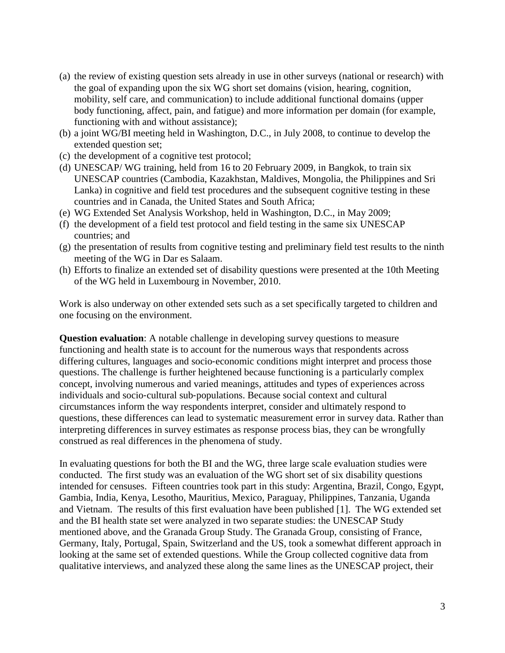- (a) the review of existing question sets already in use in other surveys (national or research) with the goal of expanding upon the six WG short set domains (vision, hearing, cognition, mobility, self care, and communication) to include additional functional domains (upper body functioning, affect, pain, and fatigue) and more information per domain (for example, functioning with and without assistance);
- (b) a joint WG/BI meeting held in Washington, D.C., in July 2008, to continue to develop the extended question set;
- (c) the development of a cognitive test protocol;
- (d) UNESCAP/ WG training, held from 16 to 20 February 2009, in Bangkok, to train six UNESCAP countries (Cambodia, Kazakhstan, Maldives, Mongolia, the Philippines and Sri Lanka) in cognitive and field test procedures and the subsequent cognitive testing in these countries and in Canada, the United States and South Africa;
- (e) WG Extended Set Analysis Workshop, held in Washington, D.C., in May 2009;
- (f) the development of a field test protocol and field testing in the same six UNESCAP countries; and
- (g) the presentation of results from cognitive testing and preliminary field test results to the ninth meeting of the WG in Dar es Salaam.
- (h) Efforts to finalize an extended set of disability questions were presented at the 10th Meeting of the WG held in Luxembourg in November, 2010.

Work is also underway on other extended sets such as a set specifically targeted to children and one focusing on the environment.

**Question evaluation**: A notable challenge in developing survey questions to measure functioning and health state is to account for the numerous ways that respondents across differing cultures, languages and socio‐economic conditions might interpret and process those questions. The challenge is further heightened because functioning is a particularly complex concept, involving numerous and varied meanings, attitudes and types of experiences across individuals and socio‐cultural sub‐populations. Because social context and cultural circumstances inform the way respondents interpret, consider and ultimately respond to questions, these differences can lead to systematic measurement error in survey data. Rather than interpreting differences in survey estimates as response process bias, they can be wrongfully construed as real differences in the phenomena of study.

In evaluating questions for both the BI and the WG, three large scale evaluation studies were conducted. The first study was an evaluation of the WG short set of six disability questions intended for censuses. Fifteen countries took part in this study: Argentina, Brazil, Congo, Egypt, Gambia, India, Kenya, Lesotho, Mauritius, Mexico, Paraguay, Philippines, Tanzania, Uganda and Vietnam. The results of this first evaluation have been published [1]. The WG extended set and the BI health state set were analyzed in two separate studies: the UNESCAP Study mentioned above, and the Granada Group Study. The Granada Group, consisting of France, Germany, Italy, Portugal, Spain, Switzerland and the US, took a somewhat different approach in looking at the same set of extended questions. While the Group collected cognitive data from qualitative interviews, and analyzed these along the same lines as the UNESCAP project, their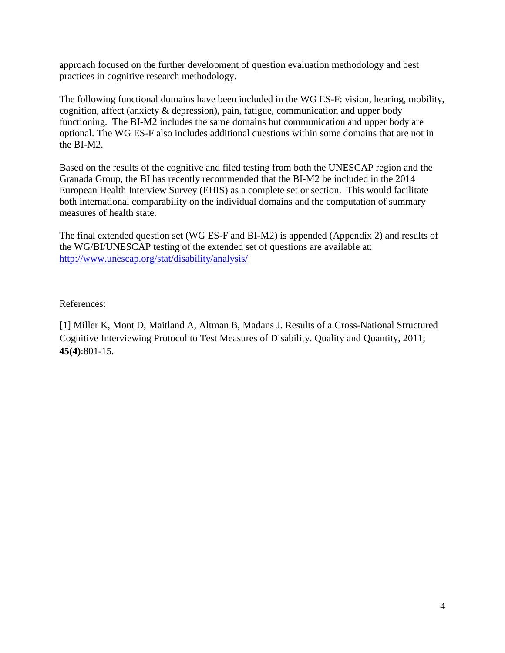approach focused on the further development of question evaluation methodology and best practices in cognitive research methodology.

The following functional domains have been included in the WG ES-F: vision, hearing, mobility, cognition, affect (anxiety & depression), pain, fatigue, communication and upper body functioning. The BI-M2 includes the same domains but communication and upper body are optional. The WG ES-F also includes additional questions within some domains that are not in the BI-M2.

Based on the results of the cognitive and filed testing from both the UNESCAP region and the Granada Group, the BI has recently recommended that the BI-M2 be included in the 2014 European Health Interview Survey (EHIS) as a complete set or section. This would facilitate both international comparability on the individual domains and the computation of summary measures of health state.

The final extended question set (WG ES-F and BI-M2) is appended (Appendix 2) and results of the WG/BI/UNESCAP testing of the extended set of questions are available at: <http://www.unescap.org/stat/disability/analysis/>

References:

[1] Miller K, Mont D, Maitland A, Altman B, Madans J. Results of a Cross-National Structured Cognitive Interviewing Protocol to Test Measures of Disability. Quality and Quantity, 2011; **45(4)**:801-15.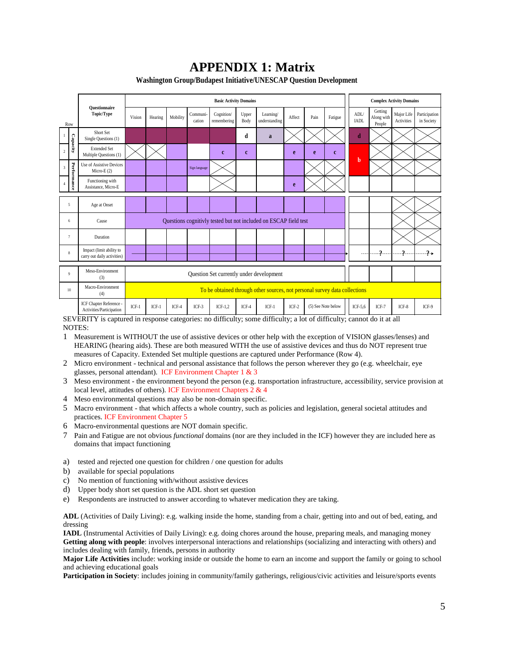# **APPENDIX 1: Matrix**

**Washington Group/Budapest Initiative/UNESCAP Question Development**

| Row                   |                | Ouestionnaire<br>Topic/Type                                                                            | <b>Basic Activity Domains</b>                                    |         |          |                    |                           |               |                            |         |                    | <b>Complex Activity Domains</b> |                     |                                 |                          |                             |
|-----------------------|----------------|--------------------------------------------------------------------------------------------------------|------------------------------------------------------------------|---------|----------|--------------------|---------------------------|---------------|----------------------------|---------|--------------------|---------------------------------|---------------------|---------------------------------|--------------------------|-----------------------------|
|                       |                |                                                                                                        | Vision                                                           | Hearing | Mobility | Communi-<br>cation | Cognition/<br>remembering | Upper<br>Body | Learning/<br>understanding | Affect  | Pain               | Fatigue                         | ADL/<br><b>IADL</b> | Getting<br>Along with<br>People | Major Life<br>Activities | Participation<br>in Society |
| $\mathbf{1}$<br>$\,2$ |                | Short Set<br>Single Questions (1)                                                                      |                                                                  |         |          |                    |                           | d             | a                          |         |                    |                                 | d                   |                                 |                          |                             |
|                       | Capacity       | <b>Extended Set</b><br>Multiple Questions (1)                                                          |                                                                  |         |          |                    | $\mathbf{c}$              | $\mathbf{c}$  |                            | e       | e                  | $\mathbf{c}$                    | $\mathbf b$         |                                 |                          |                             |
| 3                     |                | Use of Assistive Devices<br>Micro-E $(2)$                                                              |                                                                  |         |          | Sign language      |                           |               |                            |         |                    |                                 |                     |                                 |                          |                             |
|                       | Performance    | Functioning with<br>Assistance, Micro-E                                                                |                                                                  |         |          |                    |                           |               |                            | e       |                    |                                 |                     |                                 |                          |                             |
| 5                     |                | Age at Onset                                                                                           |                                                                  |         |          |                    |                           |               |                            |         |                    |                                 |                     |                                 |                          |                             |
| 6                     |                | Cause                                                                                                  | Questions cognitivly tested but not included on ESCAP field test |         |          |                    |                           |               |                            |         |                    |                                 |                     |                                 |                          |                             |
|                       | $\overline{7}$ | Duration                                                                                               |                                                                  |         |          |                    |                           |               |                            |         |                    |                                 |                     |                                 |                          |                             |
| 8                     |                | Impact (limit ability to<br>carry out daily activities)                                                |                                                                  |         |          |                    |                           |               |                            |         |                    |                                 |                     | $\cdot$                         | $\cdot$                  | $.9 \rightarrow$            |
|                       | 9              | Meso-Environment<br>(3)                                                                                | Question Set currently under development                         |         |          |                    |                           |               |                            |         |                    |                                 |                     |                                 |                          |                             |
|                       | 10             | Macro-Environment<br>To be obtained through other sources, not personal survey data collections<br>(4) |                                                                  |         |          |                    |                           |               |                            |         |                    |                                 |                     |                                 |                          |                             |
|                       |                | ICF Chapter Reference -<br>Activities/Participation                                                    | $ICF-1$                                                          | $ICF-1$ | $ICF-4$  | $ICF-3$            | $ICF-1.2$                 | $ICF-4$       | $ICF-1$                    | $ICF-2$ | (5) See Note below |                                 | ICF- $5,6$          | $ICF-7$                         | ICF-8                    | ICF-9                       |

SEVERITY is captured in response categories: no difficulty; some difficulty; a lot of difficulty; cannot do it at all NOTES:

- 1 Measurement is WITHOUT the use of assistive devices or other help with the exception of VISION glasses/lenses) and HEARING (hearing aids). These are both measured WITH the use of assistive devices and thus do NOT represent true measures of Capacity. Extended Set multiple questions are captured under Performance (Row 4).
- 2 Micro environment technical and personal assistance that follows the person wherever they go (e.g. wheelchair, eye glasses, personal attendant). ICF Environment Chapter 1 & 3
- 3 Meso environment the environment beyond the person (e.g. transportation infrastructure, accessibility, service provision at local level, attitudes of others). ICF Environment Chapters 2 & 4
- 4 Meso environmental questions may also be non-domain specific.
- 5 Macro environment that which affects a whole country, such as policies and legislation, general societal attitudes and practices. ICF Environment Chapter 5
- 6 Macro-environmental questions are NOT domain specific.
- 7 Pain and Fatigue are not obvious *functional* domains (nor are they included in the ICF) however they are included here as domains that impact functioning
- a) tested and rejected one question for children / one question for adults
- b) available for special populations
- c) No mention of functioning with/without assistive devices
- d) Upper body short set question is the ADL short set question
- e) Respondents are instructed to answer according to whatever medication they are taking.

**ADL** (Activities of Daily Living): e.g. walking inside the home, standing from a chair, getting into and out of bed, eating, and dressing

**IADL** (Instrumental Activities of Daily Living): e.g. doing chores around the house, preparing meals, and managing money **Getting along with people**: involves interpersonal interactions and relationships (socializing and interacting with others) and includes dealing with family, friends, persons in authority

**Major Life Activities** include: working inside or outside the home to earn an income and support the family or going to school and achieving educational goals

**Participation in Society**: includes joining in community/family gatherings, religious/civic activities and leisure/sports events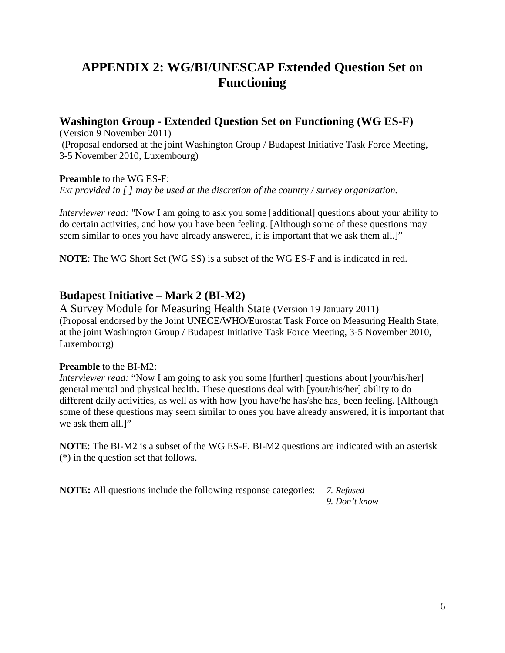# **APPENDIX 2: WG/BI/UNESCAP Extended Question Set on Functioning**

# **Washington Group - Extended Question Set on Functioning (WG ES-F)**

(Version 9 November 2011)

(Proposal endorsed at the joint Washington Group / Budapest Initiative Task Force Meeting, 3-5 November 2010, Luxembourg)

## **Preamble** to the WG ES-F:

*Ext provided in [ ] may be used at the discretion of the country / survey organization.* 

*Interviewer read:* "Now I am going to ask you some [additional] questions about your ability to do certain activities, and how you have been feeling. [Although some of these questions may seem similar to ones you have already answered, it is important that we ask them all.]"

**NOTE**: The WG Short Set (WG SS) is a subset of the WG ES-F and is indicated in red.

# **Budapest Initiative – Mark 2 (BI-M2)**

A Survey Module for Measuring Health State (Version 19 January 2011) (Proposal endorsed by the Joint UNECE/WHO/Eurostat Task Force on Measuring Health State, at the joint Washington Group / Budapest Initiative Task Force Meeting, 3-5 November 2010, Luxembourg)

## **Preamble** to the BI-M2:

*Interviewer read:* "Now I am going to ask you some [further] questions about [your/his/her] general mental and physical health. These questions deal with [your/his/her] ability to do different daily activities, as well as with how [you have/he has/she has] been feeling. [Although some of these questions may seem similar to ones you have already answered, it is important that we ask them all.<sup>1"</sup>

**NOTE**: The BI-M2 is a subset of the WG ES-F. BI-M2 questions are indicated with an asterisk (\*) in the question set that follows.

**NOTE:** All questions include the following response categories: *7. Refused*

*9. Don't know*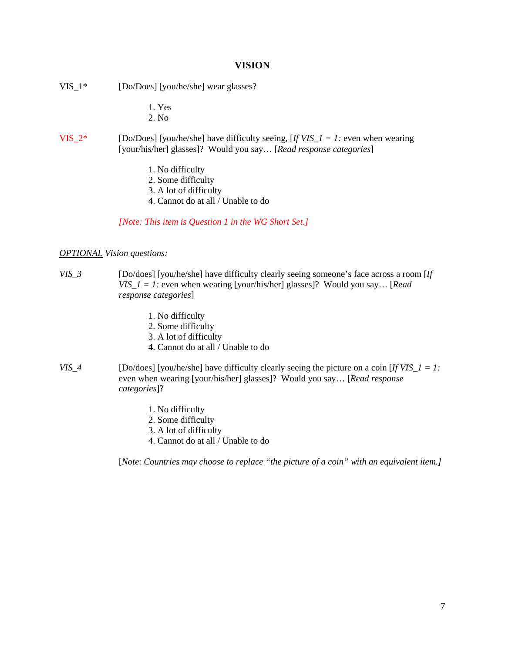#### **VISION**

- VIS\_1\* [Do/Does] [you/he/she] wear glasses?
	- 1. Yes
	- 2. No
- VIS\_2\* [Do/Does] [you/he/she] have difficulty seeing,  $[If VIS_1 = 1]$ : even when wearing [your/his/her] glasses]? Would you say… [*Read response categories*]
	- 1. No difficulty
	- 2. Some difficulty
	- 3. A lot of difficulty
	- 4. Cannot do at all / Unable to do

#### *[Note: This item is Question 1 in the WG Short Set.]*

#### *OPTIONAL Vision questions:*

- *VIS\_3* [Do/does] [you/he/she] have difficulty clearly seeing someone's face across a room [*If VIS\_1 = 1:* even when wearing [your/his/her] glasses]? Would you say… [*Read response categories*]
	- 1. No difficulty
	- 2. Some difficulty
	- 3. A lot of difficulty
	- 4. Cannot do at all / Unable to do
- *VIS\_4* [Do/does] [you/he/she] have difficulty clearly seeing the picture on a coin [*If VIS\_1 = 1:*  even when wearing [your/his/her] glasses]? Would you say… [*Read response categories*]?
	- 1. No difficulty
	- 2. Some difficulty
	- 3. A lot of difficulty
	- 4. Cannot do at all / Unable to do

[*Note*: *Countries may choose to replace "the picture of a coin" with an equivalent item.]*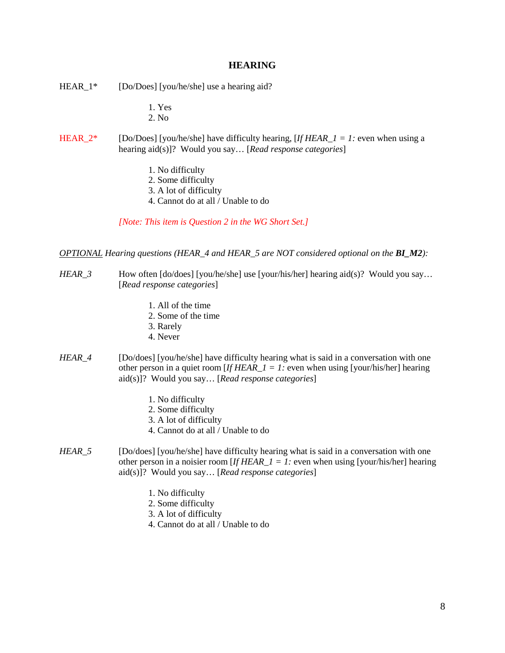#### **HEARING**

- HEAR<sub>1</sub>\* [Do/Does] [you/he/she] use a hearing aid?
	- 1. Yes
	- 2. No
- HEAR\_2\* [Do/Does] [you/he/she] have difficulty hearing,  $[If HERA -1] = 1$ : even when using a hearing aid(s)]? Would you say… [*Read response categories*]
	- 1. No difficulty
	- 2. Some difficulty
	- 3. A lot of difficulty
	- 4. Cannot do at all / Unable to do

*[Note: This item is Question 2 in the WG Short Set.]*

*OPTIONAL Hearing questions (HEAR\_4 and HEAR\_5 are NOT considered optional on the BI\_M2):*

- *HEAR\_3* How often [do/does] [you/he/she] use [your/his/her] hearing aid(s)? Would you say... [*Read response categories*]
	- 1. All of the time
	- 2. Some of the time
	- 3. Rarely
	- 4. Never
- *HEAR\_4* [Do/does] [you/he/she] have difficulty hearing what is said in a conversation with one other person in a quiet room [*If HEAR*  $1 = 1$ *:* even when using [your/his/her] hearing aid(s)]? Would you say… [*Read response categories*]
	- 1. No difficulty
	- 2. Some difficulty
	- 3. A lot of difficulty
	- 4. Cannot do at all / Unable to do
- *HEAR\_5* [Do/does] [you/he/she] have difficulty hearing what is said in a conversation with one other person in a noisier room [*If HEAR\_1 = 1:* even when using [your/his/her] hearing aid(s)]? Would you say… [*Read response categories*]
	- 1. No difficulty
	- 2. Some difficulty
	- 3. A lot of difficulty
	- 4. Cannot do at all / Unable to do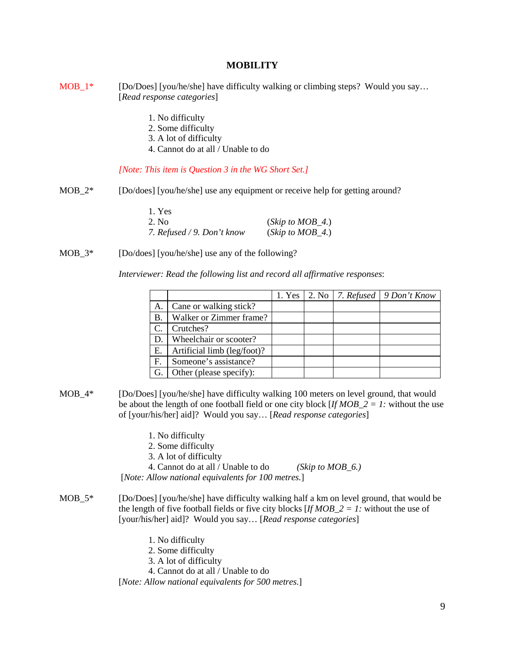#### **MOBILITY**

- $MOB_1^*$  [Do/Does] [you/he/she] have difficulty walking or climbing steps? Would you say... [*Read response categories*]
	- 1. No difficulty
	- 2. Some difficulty
	- 3. A lot of difficulty
	- 4. Cannot do at all / Unable to do

#### *[Note: This item is Question 3 in the WG Short Set.]*

MOB<sub>-2</sub>\* [Do/does] [you/he/she] use any equipment or receive help for getting around?

| 1. Yes                     |                      |
|----------------------------|----------------------|
| 2. No.                     | (Skip to $MOB_4$ .)  |
| 7. Refused / 9. Don't know | $(Skip\ to\ MOB_4.)$ |

MOB<sub>\_3</sub>\* [Do/does] [you/he/she] use any of the following?

*Interviewer: Read the following list and record all affirmative responses*:

|    |                             |  | 1. Yes   2. No   7. Refused   9 Don't Know |
|----|-----------------------------|--|--------------------------------------------|
| A. | Cane or walking stick?      |  |                                            |
| Β. | Walker or Zimmer frame?     |  |                                            |
|    | Crutches?                   |  |                                            |
| D. | Wheelchair or scooter?      |  |                                            |
| Ε. | Artificial limb (leg/foot)? |  |                                            |
| F. | Someone's assistance?       |  |                                            |
| G. | Other (please specify):     |  |                                            |

- MOB\_4\* [Do/Does] [you/he/she] have difficulty walking 100 meters on level ground, that would be about the length of one football field or one city block [*If MOB*  $2 = I$ : without the use of [your/his/her] aid]? Would you say… [*Read response categories*]
	- 1. No difficulty
	- 2. Some difficulty
	- 3. A lot of difficulty
	- 4. Cannot do at all / Unable to do *(Skip to MOB\_6.)*
	- [*Note: Allow national equivalents for 100 metres.*]
- MOB\_5\* [Do/Does] [you/he/she] have difficulty walking half a km on level ground, that would be the length of five football fields or five city blocks  $[IfMOB_2 = I]$ : without the use of [your/his/her] aid]? Would you say… [*Read response categories*]
	- 1. No difficulty
	- 2. Some difficulty
	- 3. A lot of difficulty
	- 4. Cannot do at all / Unable to do

[*Note: Allow national equivalents for 500 metres.*]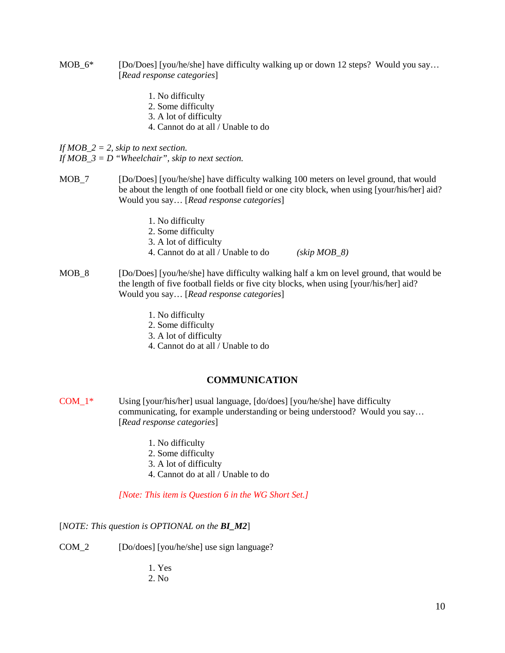- MOB  $6^*$  [Do/Does] [you/he/she] have difficulty walking up or down 12 steps? Would you say... [*Read response categories*]
	- 1. No difficulty
	- 2. Some difficulty
	- 3. A lot of difficulty
	- 4. Cannot do at all / Unable to do

*If MOB\_2 = 2, skip to next section.*

*If MOB\_3 = D "Wheelchair", skip to next section.*

- MOB\_7 [Do/Does] [you/he/she] have difficulty walking 100 meters on level ground, that would be about the length of one football field or one city block, when using [your/his/her] aid? Would you say… [*Read response categories*]
	- 1. No difficulty
	- 2. Some difficulty
	- 3. A lot of difficulty
	- 4. Cannot do at all / Unable to do *(skip MOB\_8)*
- MOB 8 [Do/Does] [you/he/she] have difficulty walking half a km on level ground, that would be the length of five football fields or five city blocks, when using [your/his/her] aid? Would you say… [*Read response categories*]
	- 1. No difficulty
	- 2. Some difficulty
	- 3. A lot of difficulty
	- 4. Cannot do at all / Unable to do

## **COMMUNICATION**

- COM\_1\* Using [your/his/her] usual language, [do/does] [you/he/she] have difficulty communicating, for example understanding or being understood? Would you say… [*Read response categories*]
	- 1. No difficulty
	- 2. Some difficulty
	- 3. A lot of difficulty
	- 4. Cannot do at all / Unable to do

*[Note: This item is Question 6 in the WG Short Set.]*

[*NOTE: This question is OPTIONAL on the BI\_M2*]

- COM\_2 [Do/does] [you/he/she] use sign language?
	- 1. Yes
	- 2. No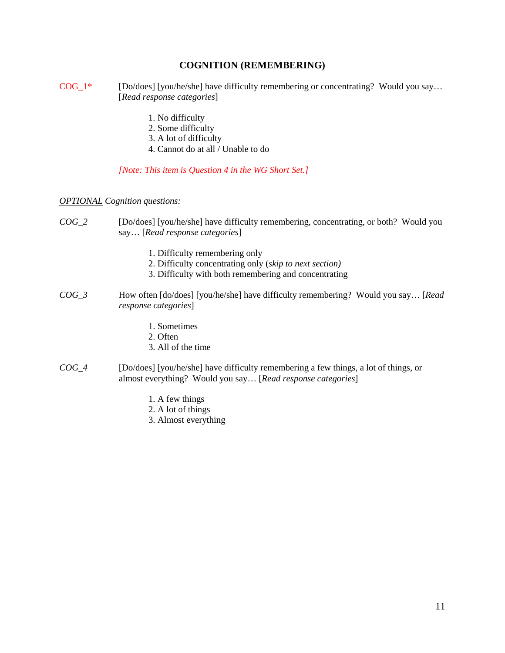## **COGNITION (REMEMBERING)**

- $COG_1*$  [Do/does] [you/he/she] have difficulty remembering or concentrating? Would you say... [*Read response categories*]
	- 1. No difficulty
	- 2. Some difficulty
	- 3. A lot of difficulty
	- 4. Cannot do at all / Unable to do

*[Note: This item is Question 4 in the WG Short Set.]*

*OPTIONAL Cognition questions:*

- *COG\_2* [Do/does] [you/he/she] have difficulty remembering, concentrating, or both? Would you say… [*Read response categories*]
	- 1. Difficulty remembering only
	- 2. Difficulty concentrating only (*skip to next section)*
	- 3. Difficulty with both remembering and concentrating
- *COG\_3* How often [do/does] [you/he/she] have difficulty remembering? Would you say… [*Read response categories*]
	- 1. Sometimes
	- 2. Often
	- 3. All of the time
- *COG\_4* [Do/does] [you/he/she] have difficulty remembering a few things, a lot of things, or almost everything? Would you say… [*Read response categories*]
	- 1. A few things
	- 2. A lot of things
	- 3. Almost everything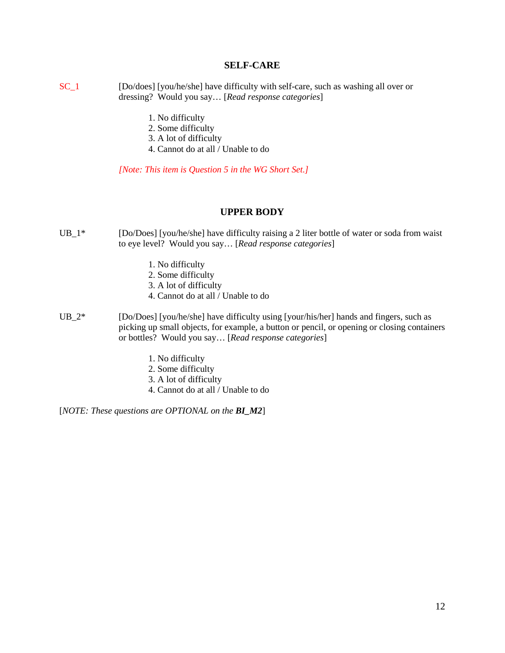#### **SELF-CARE**

- SC\_1 [Do/does] [you/he/she] have difficulty with self-care, such as washing all over or dressing? Would you say… [*Read response categories*]
	- 1. No difficulty
	- 2. Some difficulty
	- 3. A lot of difficulty
	- 4. Cannot do at all / Unable to do

*[Note: This item is Question 5 in the WG Short Set.]*

#### **UPPER BODY**

- UB<sub>1</sub><sup>\*</sup> [Do/Does] [you/he/she] have difficulty raising a 2 liter bottle of water or soda from waist to eye level? Would you say… [*Read response categories*]
	- 1. No difficulty
	- 2. Some difficulty
	- 3. A lot of difficulty
	- 4. Cannot do at all / Unable to do
- UB<sub>-2</sub>\* [Do/Does] [you/he/she] have difficulty using [your/his/her] hands and fingers, such as picking up small objects, for example, a button or pencil, or opening or closing containers or bottles? Would you say… [*Read response categories*]
	- 1. No difficulty
	- 2. Some difficulty
	- 3. A lot of difficulty
	- 4. Cannot do at all / Unable to do

[*NOTE: These questions are OPTIONAL on the BI\_M2*]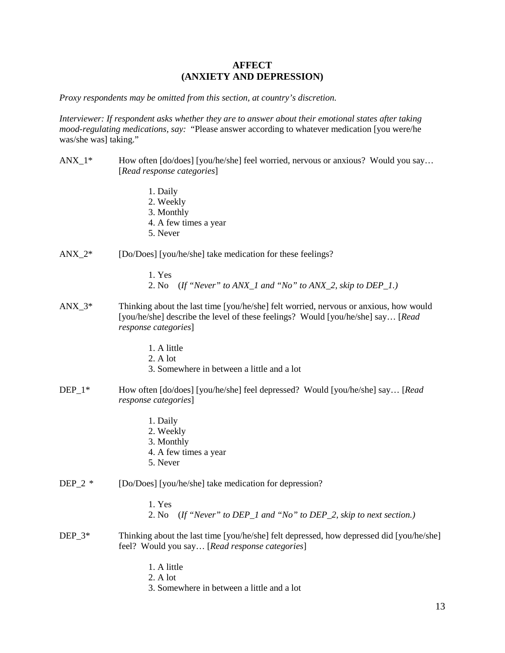### **AFFECT (ANXIETY AND DEPRESSION)**

*Proxy respondents may be omitted from this section, at country's discretion.*

*Interviewer: If respondent asks whether they are to answer about their emotional states after taking mood-regulating medications, say:* "Please answer according to whatever medication [you were/he was/she was] taking."

- ANX  $1^*$  How often [do/does] [you/he/she] feel worried, nervous or anxious? Would you say... [*Read response categories*]
	- 1. Daily
	- 2. Weekly
	- 3. Monthly
	- 4. A few times a year
	- 5. Never
- ANX\_2\* [Do/Does] [you/he/she] take medication for these feelings?
	- 1. Yes
	- 2. No (*If "Never" to ANX\_1 and "No" to ANX\_2, skip to DEP\_1.)*
- ANX  $3^*$  Thinking about the last time [you/he/she] felt worried, nervous or anxious, how would [you/he/she] describe the level of these feelings? Would [you/he/she] say… [*Read response categories*]
	- 1. A little
	- 2. A lot
	- 3. Somewhere in between a little and a lot
- DEP\_1\* How often [do/does] [you/he/she] feel depressed? Would [you/he/she] say… [*Read response categories*]
	- 1. Daily
	- 2. Weekly
	- 3. Monthly
	- 4. A few times a year
	- 5. Never
- DEP<sub>-2</sub> \* [Do/Does] [you/he/she] take medication for depression?
	- 1. Yes
	- 2. No (*If "Never" to DEP\_1 and "No" to DEP\_2, skip to next section.)*
- DEP  $3*$  Thinking about the last time [you/he/she] felt depressed, how depressed did [you/he/she] feel? Would you say… [*Read response categories*]
	- 1. A little
	- 2. A lot
	- 3. Somewhere in between a little and a lot